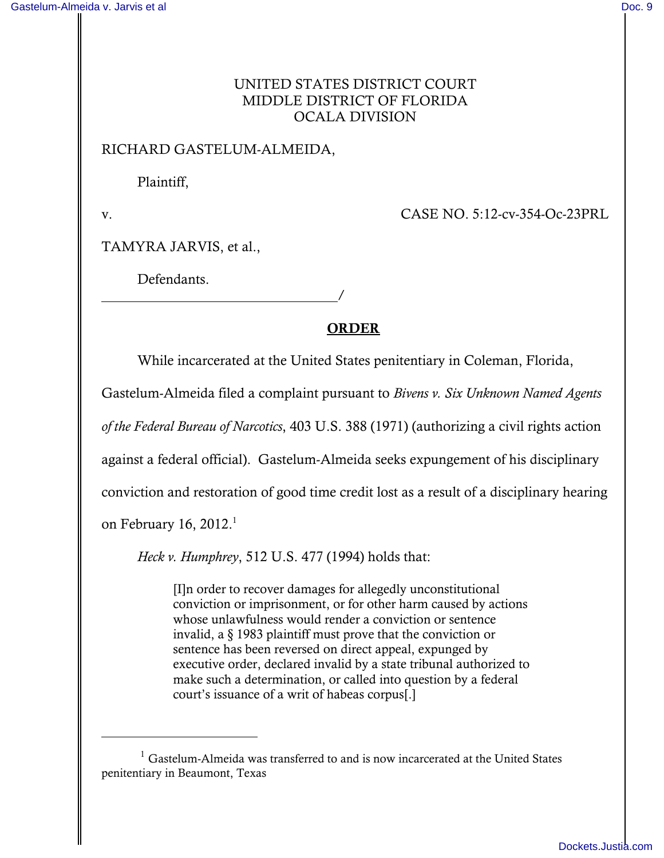## UNITED STATES DISTRICT COURT MIDDLE DISTRICT OF FLORIDA OCALA DIVISION

RICHARD GASTELUM-ALMEIDA,

Plaintiff,

v. CASE NO. 5:12-cv-354-Oc-23PRL

TAMYRA JARVIS, et al.,

Defendants.

/

## ORDER

While incarcerated at the United States penitentiary in Coleman, Florida,

Gastelum-Almeida filed a complaint pursuant to *Bivens v. Six Unknown Named Agents*

*of the Federal Bureau of Narcotics*, 403 U.S. 388 (1971) (authorizing a civil rights action

against a federal official). Gastelum-Almeida seeks expungement of his disciplinary

conviction and restoration of good time credit lost as a result of a disciplinary hearing

on February 16, 2012. $^1$ 

*Heck v. Humphrey*, 512 U.S. 477 (1994) holds that:

[I]n order to recover damages for allegedly unconstitutional conviction or imprisonment, or for other harm caused by actions whose unlawfulness would render a conviction or sentence invalid, a § 1983 plaintiff must prove that the conviction or sentence has been reversed on direct appeal, expunged by executive order, declared invalid by a state tribunal authorized to make such a determination, or called into question by a federal court's issuance of a writ of habeas corpus[.]

 $^{\rm 1}$  Gastelum-Almeida was transferred to and is now incarcerated at the United States penitentiary in Beaumont, Texas